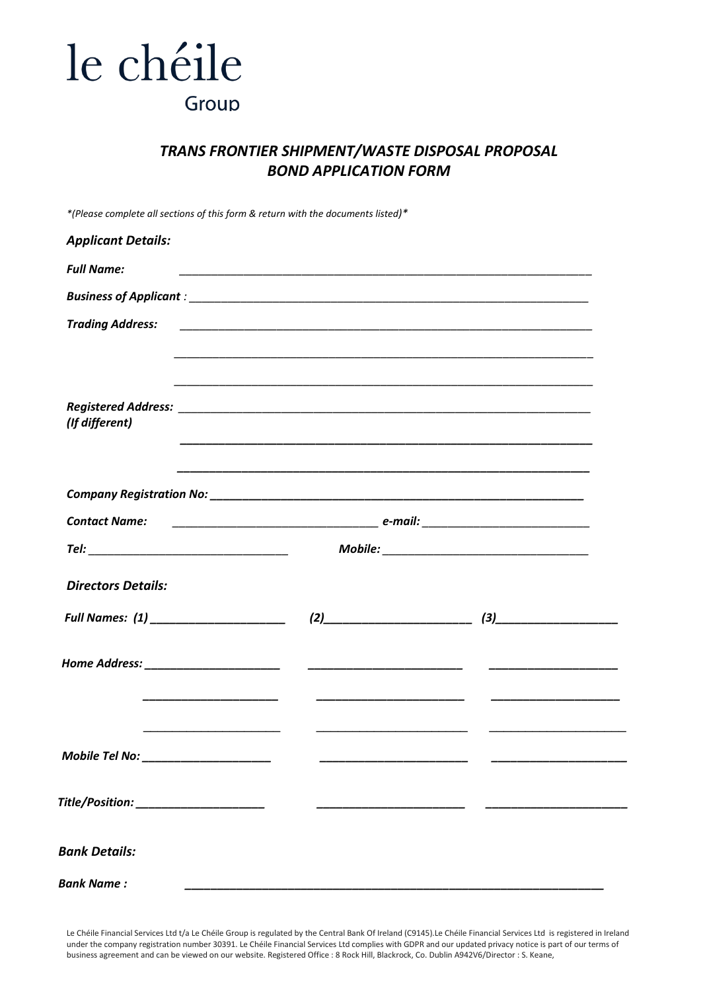

#### *TRANS FRONTIER SHIPMENT/WASTE DISPOSAL PROPOSAL BOND APPLICATION FORM*

*\*(Please complete all sections of this form & return with the documents listed)\**

| <b>Applicant Details:</b>                                                                                             |  |                                           |  |  |
|-----------------------------------------------------------------------------------------------------------------------|--|-------------------------------------------|--|--|
| <b>Full Name:</b>                                                                                                     |  |                                           |  |  |
|                                                                                                                       |  |                                           |  |  |
| <b>Trading Address:</b>                                                                                               |  |                                           |  |  |
|                                                                                                                       |  |                                           |  |  |
|                                                                                                                       |  |                                           |  |  |
| (If different)                                                                                                        |  |                                           |  |  |
|                                                                                                                       |  |                                           |  |  |
|                                                                                                                       |  |                                           |  |  |
|                                                                                                                       |  |                                           |  |  |
|                                                                                                                       |  |                                           |  |  |
|                                                                                                                       |  |                                           |  |  |
| <b>Directors Details:</b>                                                                                             |  |                                           |  |  |
| Full Names: (1) ______________________                                                                                |  | $(2) \qquad \qquad (3) \qquad \qquad (3)$ |  |  |
|                                                                                                                       |  |                                           |  |  |
|                                                                                                                       |  |                                           |  |  |
| <u> 1980 - Andrea Aonaich, ann an t-Aonaich an t-Aonaich an t-Aonaich ann an t-Aonaich ann an t-Aonaich ann an t-</u> |  |                                           |  |  |
| <b>Mobile Tel No:</b>                                                                                                 |  |                                           |  |  |
|                                                                                                                       |  |                                           |  |  |
|                                                                                                                       |  |                                           |  |  |
| <b>Bank Details:</b>                                                                                                  |  |                                           |  |  |
|                                                                                                                       |  |                                           |  |  |

Le Chéile Financial Services Ltd t/a Le Chéile Group is regulated by the Central Bank Of Ireland (C9145).Le Chéile Financial Services Ltd is registered in Ireland under the company registration number 30391. Le Chéile Financial Services Ltd complies with GDPR and our updated privacy notice is part of our terms of business agreement and can be viewed on our website. Registered Office : 8 Rock Hill, Blackrock, Co. Dublin A942V6/Director : S. Keane,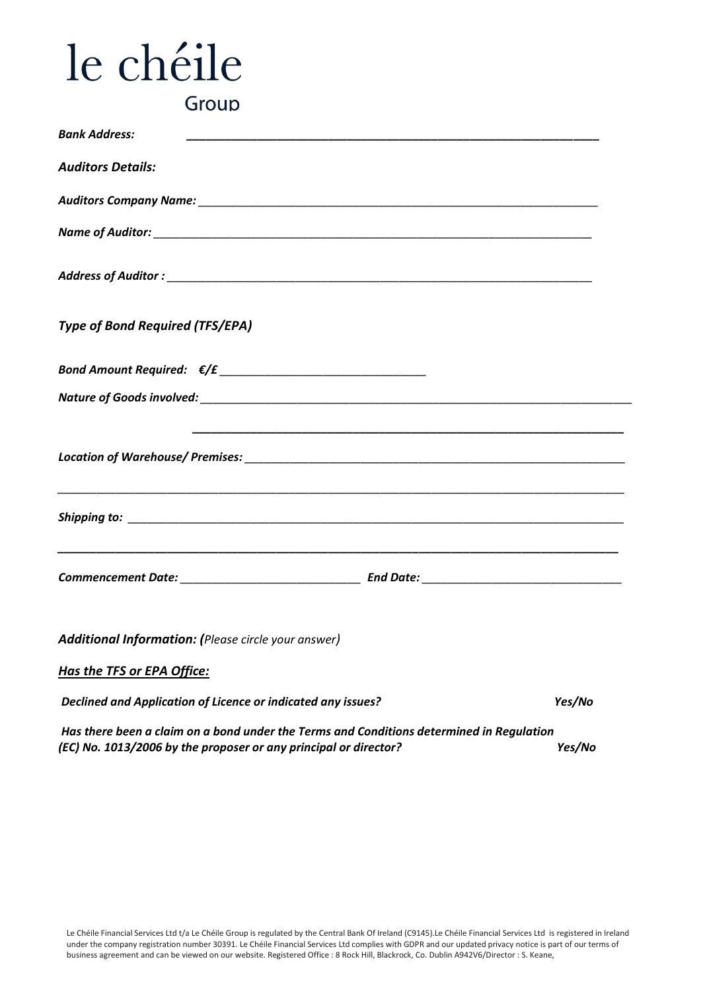## le chéile Group

| <b>Bank Address:</b>                                |  |
|-----------------------------------------------------|--|
| <b>Auditors Details:</b>                            |  |
|                                                     |  |
|                                                     |  |
|                                                     |  |
| <b>Type of Bond Required (TFS/EPA)</b>              |  |
|                                                     |  |
|                                                     |  |
|                                                     |  |
|                                                     |  |
|                                                     |  |
| Additional Information: (Please circle your answer) |  |
| Has the TFS or EPA Office:                          |  |

*Declined and Application of Licence or indicated any issues? Yes/No*

*Has there been a claim on a bond under the Terms and Conditions determined in Regulation (EC) No. 1013/2006 by the proposer or any principal or director? Yes/No*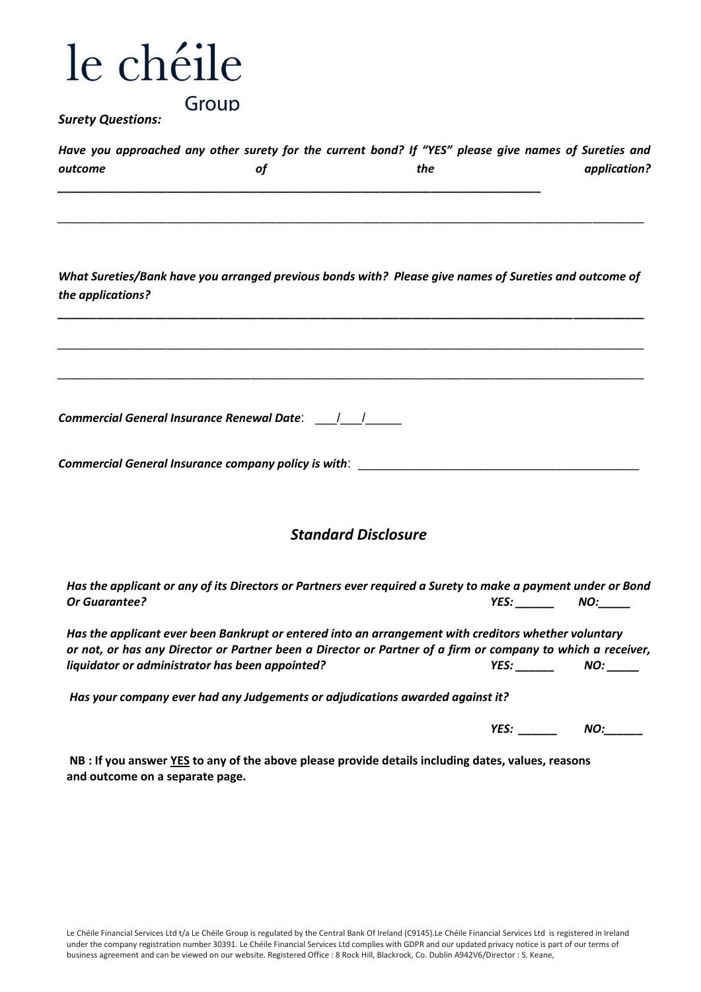## le chéile Group

#### *Surety Questions:*

| outcome           | of                                                                                                                                                                                                                             | the                        | Have you approached any other surety for the current bond? If "YES" please give names of Sureties and<br>application?          |
|-------------------|--------------------------------------------------------------------------------------------------------------------------------------------------------------------------------------------------------------------------------|----------------------------|--------------------------------------------------------------------------------------------------------------------------------|
| the applications? |                                                                                                                                                                                                                                |                            | What Sureties/Bank have you arranged previous bonds with? Please give names of Sureties and outcome of                         |
|                   | Commercial General Insurance Renewal Date: \rightarrow \,\mumber \,\mumber \,\mumber \,\mumber \,\mumber \,\mumber \,\mumber \,\mumber \,\mumber \,\mumber \,\mumber \,\mumber \,\mumber \,\mumber \,\mumber \,\mumber \,\mumb |                            |                                                                                                                                |
|                   | Commercial General Insurance company policy is with: ___________________________                                                                                                                                               |                            |                                                                                                                                |
|                   |                                                                                                                                                                                                                                | <b>Standard Disclosure</b> |                                                                                                                                |
| Or Guarantee?     |                                                                                                                                                                                                                                |                            | Has the applicant or any of its Directors or Partners ever required a Surety to make a payment under or Bond<br>$YES:$ NO: NO: |
|                   | Has the applicant ever been Bankrupt or entered into an arrangement with creditors whether voluntary<br>liquidator or administrator has been appointed? Manual Muslem Muslem Muslem Muslem Muslem Muslem Muslem Muslem         |                            | or not, or has any Director or Partner been a Director or Partner of a firm or company to which a receiver,                    |
|                   | Has your company ever had any Judgements or adjudications awarded against it?                                                                                                                                                  |                            |                                                                                                                                |
|                   |                                                                                                                                                                                                                                |                            | $YES:$ $NO:$                                                                                                                   |

**NB : If you answer YES to any of the above please provide details including dates, values, reasons and outcome on a separate page.**